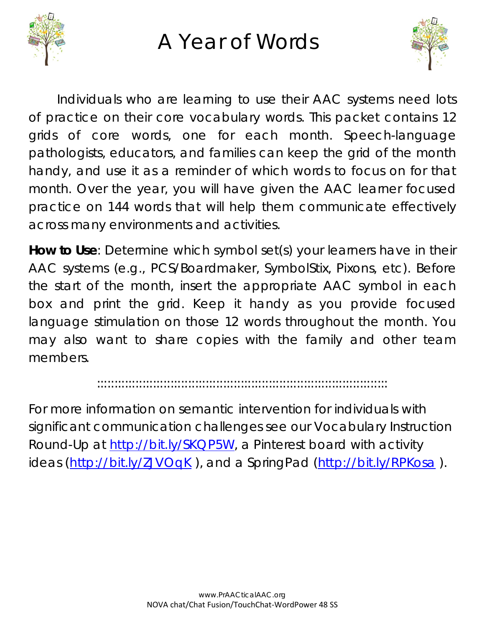

## A Year of Words



Individuals who are learning to use their AAC systems need lots of practice on their core vocabulary words. This packet contains 12 grids of core words, one for each month. Speech-language pathologists, educators, and families can keep the grid of the month handy, and use it as a reminder of which words to focus on for that month. Over the year, you will have given the AAC learner focused practice on 144 words that will help them communicate effectively across many environments and activities.

**How to Use**: Determine which symbol set(s) your learners have in their AAC systems (e.g., PCS/Boardmaker, SymbolStix, Pixons, etc). Before the start of the month, insert the appropriate AAC symbol in each box and print the grid. Keep it handy as you provide focused language stimulation on those 12 words throughout the month. You may also want to share copies with the family and other team members.

:::::::::::::::::::::::::::::::::::::::::::::::::::::::::::::::::::::::::::::::::::

For more information on semantic intervention for individuals with significant communication challenges see our Vocabulary Instruction Round-Up at [http://bit.ly/SKQP5W,](http://bit.ly/SKQP5W) a Pinterest board with activity ideas [\(http://bit.ly/ZJVOqK](http://bit.ly/ZJVOqK)), and a SpringPad [\(http://bit.ly/RPKosa](http://bit.ly/RPKosa)).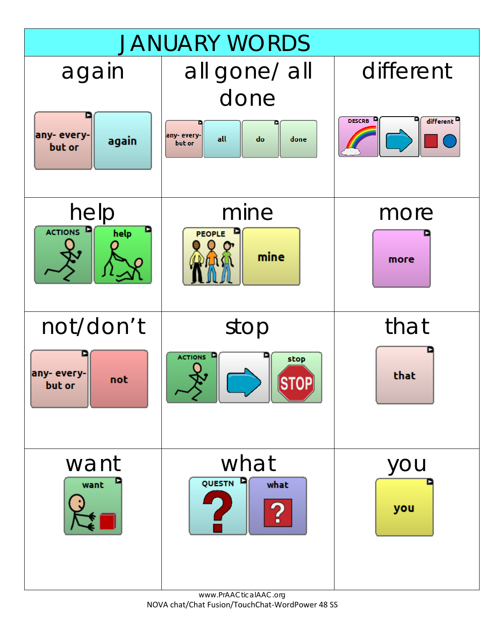

www.PrAACticalAAC.org NOVA chat/Chat Fusion/TouchChat-WordPower 48 SS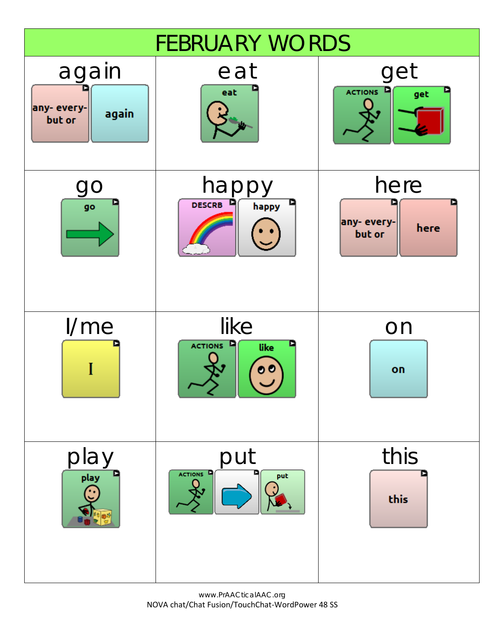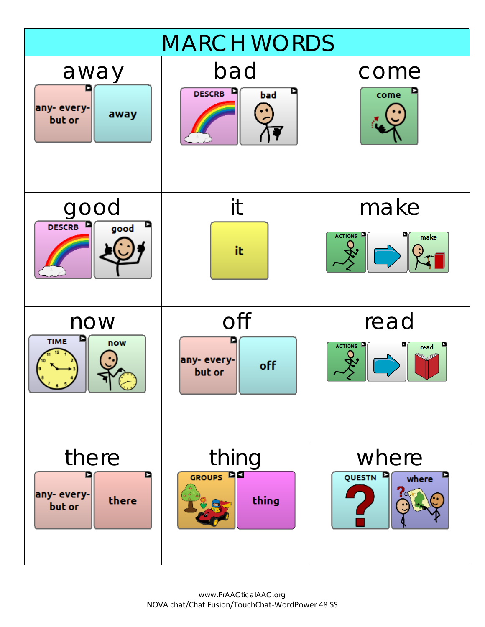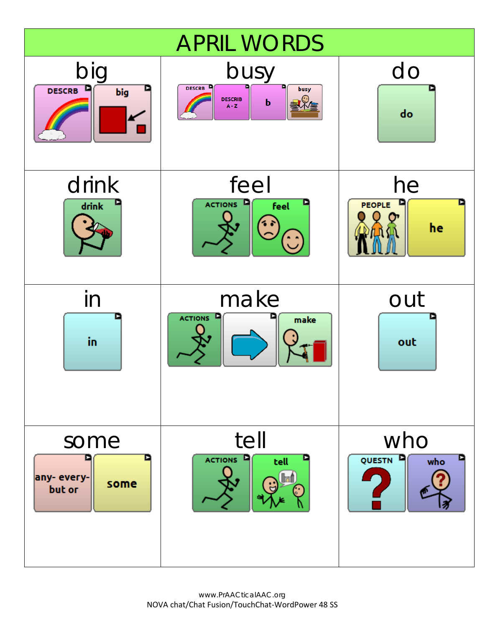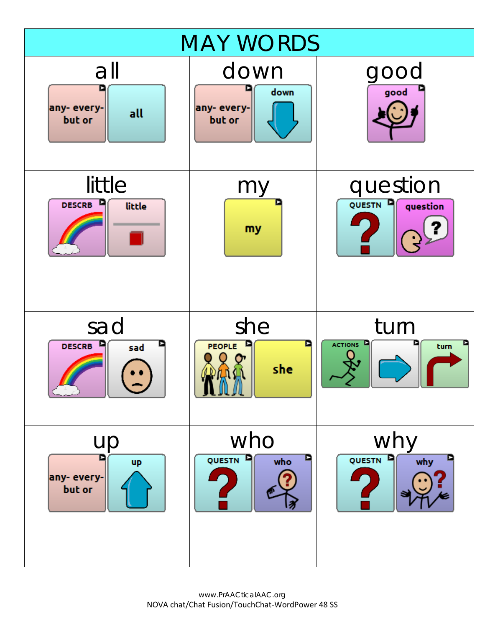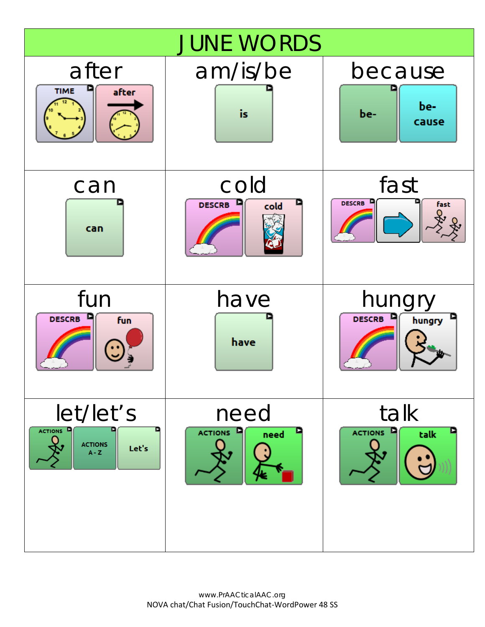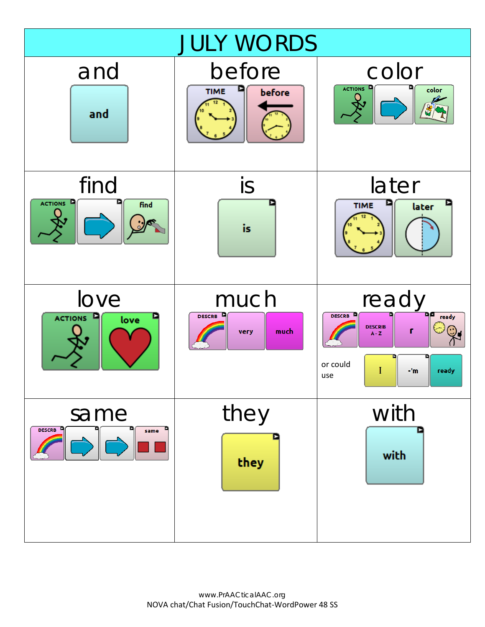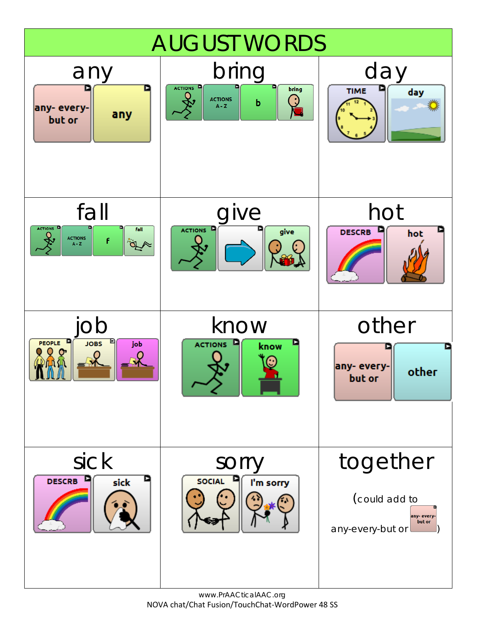

www.PrAACticalAAC.org NOVA chat/Chat Fusion/TouchChat-WordPower 48 SS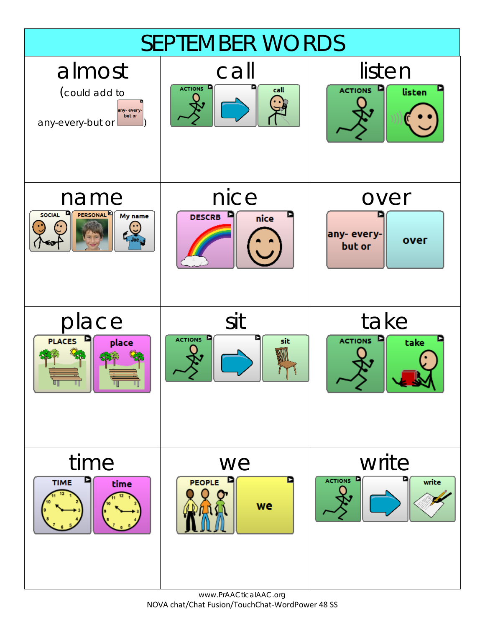

www.PrAACticalAAC.org NOVA chat/Chat Fusion/TouchChat-WordPower 48 SS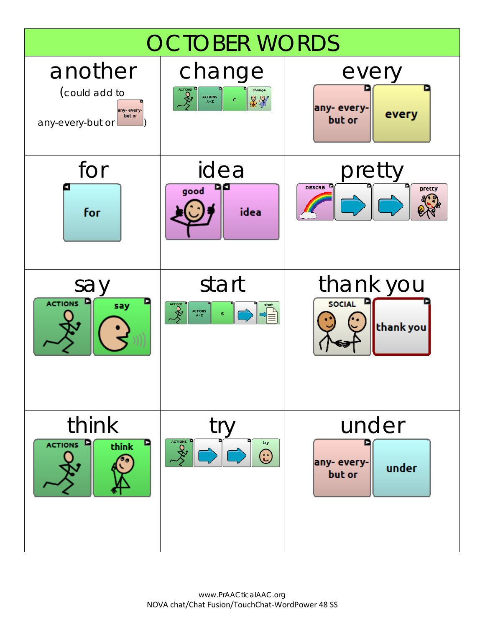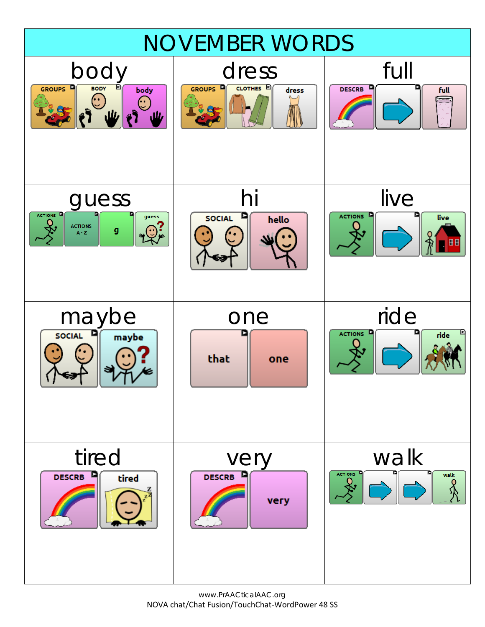